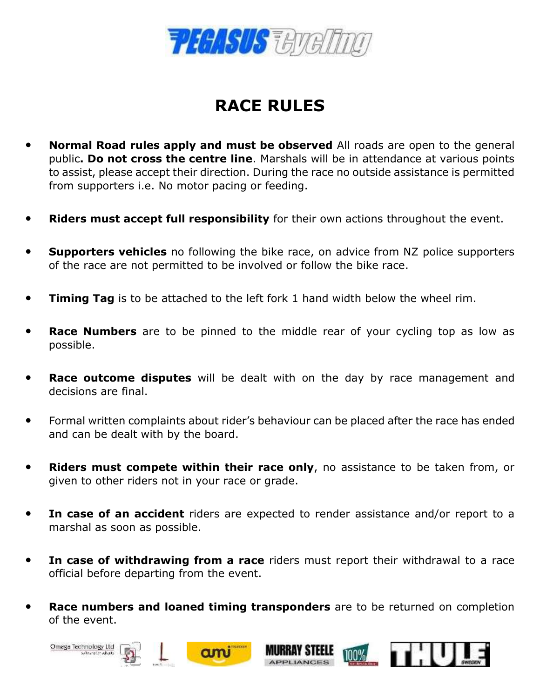

## **RACE RULES**

- **Normal Road rules apply and must be observed** All roads are open to the general public**. Do not cross the centre line**. Marshals will be in attendance at various points to assist, please accept their direction. During the race no outside assistance is permitted from supporters i.e. No motor pacing or feeding.
- **Riders must accept full responsibility** for their own actions throughout the event.
- **Supporters vehicles** no following the bike race, on advice from NZ police supporters of the race are not permitted to be involved or follow the bike race.
- **Timing Tag** is to be attached to the left fork 1 hand width below the wheel rim.
- **Race Numbers** are to be pinned to the middle rear of your cycling top as low as possible.
- **Race outcome disputes** will be dealt with on the day by race management and decisions are final.
- Formal written complaints about rider's behaviour can be placed after the race has ended and can be dealt with by the board.
- **Riders must compete within their race only**, no assistance to be taken from, or given to other riders not in your race or grade.
- In case of an accident riders are expected to render assistance and/or report to a marshal as soon as possible.
- In case of withdrawing from a race riders must report their withdrawal to a race official before departing from the event.
- **Race numbers and loaned timing transponders** are to be returned on completion of the event.